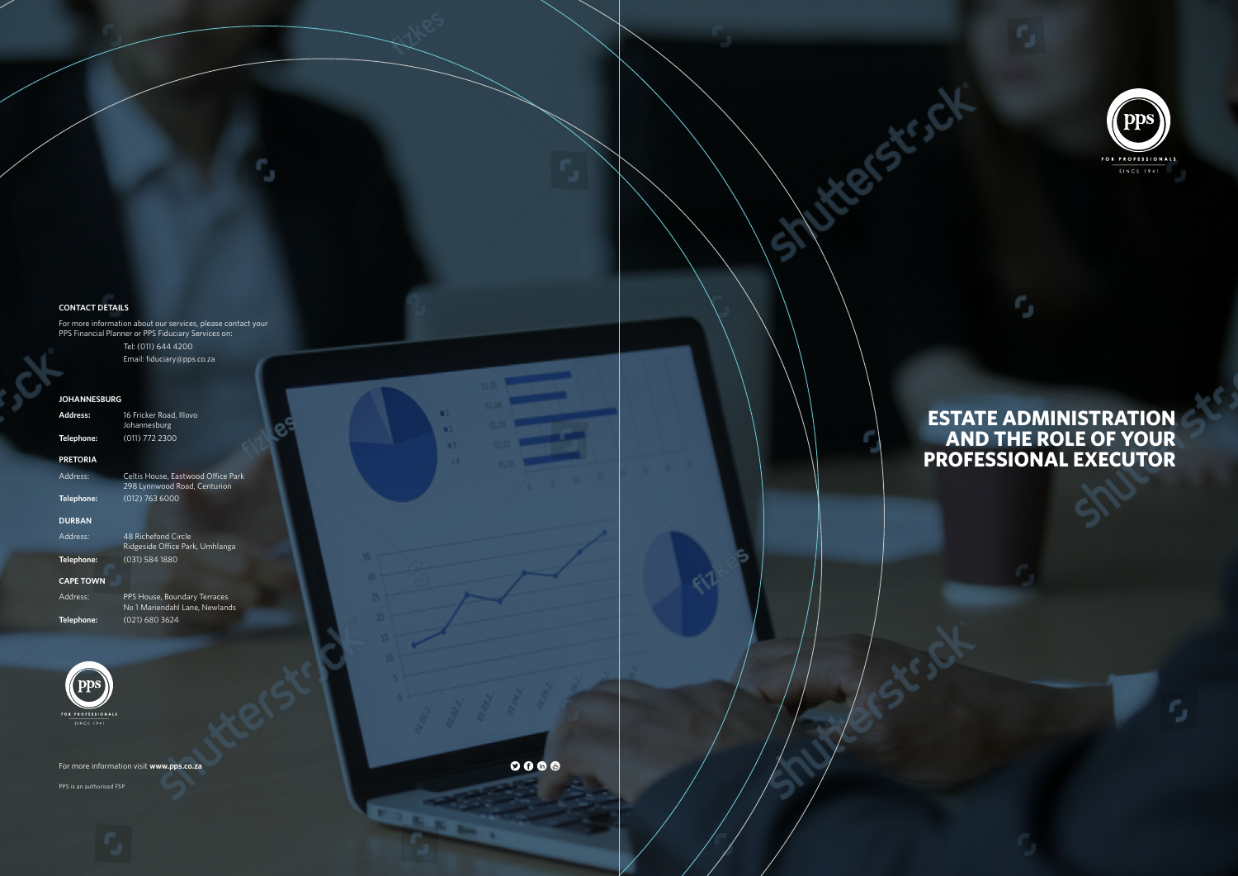#### **CONTACT DETAILS**

For more information about our services, please contact your PPS Financial Planner or PPS Fiduciary Services on:

Tel: (011) 644 4200

Email: fiduciary@pps.co.za

ß.

#### **JOHANNESBURG**

| Address:          | œ<br>16 Fricker Road, Illovo<br>Johannesburg<br>œ                  |  |  |
|-------------------|--------------------------------------------------------------------|--|--|
| Telephone:        | (011) 772 2300<br>m                                                |  |  |
| <b>PRETORIA</b>   |                                                                    |  |  |
| Address:          | Celtis House, Eastwood Office Park<br>298 Lynnwood Road, Centurion |  |  |
| Telephone:        | $(012)$ 763 6000                                                   |  |  |
| <b>DURBAN</b>     |                                                                    |  |  |
| Address:          | 48 Richefond Circle<br>Ridgeside Office Park, Umhlanga             |  |  |
| Telephone:        | (031) 584 1880                                                     |  |  |
| <b>CAPE TOWN</b>  |                                                                    |  |  |
| Address:          | PPS House, Boundary Terraces<br>No 1 Mariendahl Lane, Newlands     |  |  |
| Telephone:        | (021) 680 3624                                                     |  |  |
|                   |                                                                    |  |  |
|                   |                                                                    |  |  |
|                   |                                                                    |  |  |
| FOR PROFESSIONALS |                                                                    |  |  |

# **ESTATE ADMINISTRATION AND THE ROLE OF YOUR PROFESSIONAL EXECUTOR**

G

ortste of

For more information visit **www.pps.co.za**

PPS is an authorised FSP

 $0000$ 

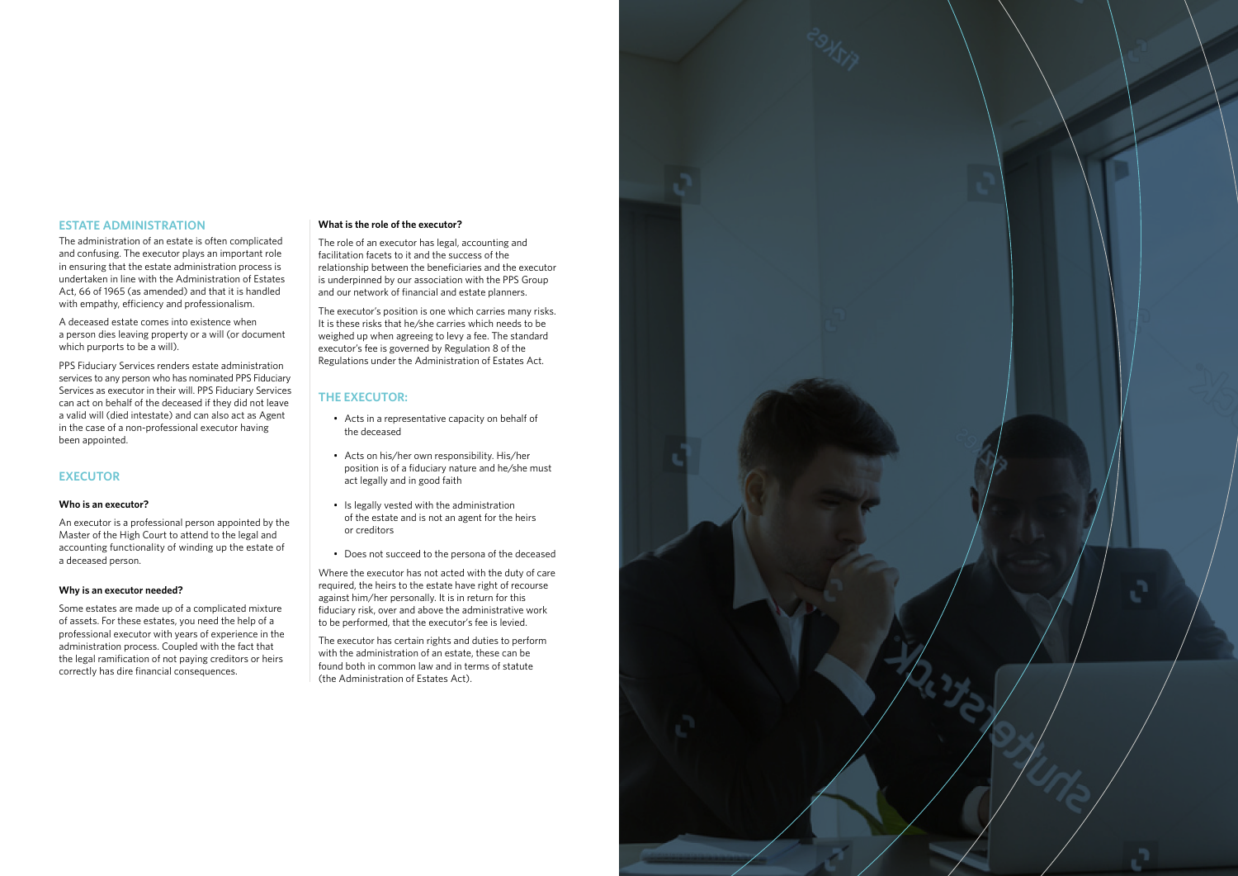## **ESTATE ADMINISTRATION**

The administration of an estate is often complicated and confusing. The executor plays an important role in ensuring that the estate administration process is undertaken in line with the Administration of Estates Act, 66 of 1965 (as amended) and that it is handled with empathy, efficiency and professionalism.

A deceased estate comes into existence when a person dies leaving property or a will (or document which purports to be a will).

PPS Fiduciary Services renders estate administration services to any person who has nominated PPS Fiduciary Services as executor in their will. PPS Fiduciary Services can act on behalf of the deceased if they did not leave a valid will (died intestate) and can also act as Agent in the case of a non-professional executor having been appointed.

# **EXECUTOR**

#### **Who is an executor?**

An executor is a professional person appointed by the Master of the High Court to attend to the legal and accounting functionality of winding up the estate of a deceased person.

#### **Why is an executor needed?**

Some estates are made up of a complicated mixture of assets. For these estates, you need the help of a professional executor with years of experience in the administration process. Coupled with the fact that the legal ramification of not paying creditors or heirs correctly has dire financial consequences.

#### **What is the role of the executor?**

The role of an executor has legal, accounting and facilitation facets to it and the success of the relationship between the beneficiaries and the executor is underpinned by our association with the PPS Group and our network of financial and estate planners.

The executor's position is one which carries many risks. It is these risks that he/she carries which needs to be weighed up when agreeing to levy a fee. The standard executor's fee is governed by Regulation 8 of the Regulations under the Administration of Estates Act.

# **THE EXECUTOR:**

- Acts in a representative capacity on behalf of the deceased
- Acts on his/her own responsibility. His/her position is of a fiduciary nature and he/she must act legally and in good faith
- Is legally vested with the administration of the estate and is not an agent for the heirs or creditors
- Does not succeed to the persona of the deceased

Where the executor has not acted with the duty of care required, the heirs to the estate have right of recourse against him/her personally. It is in return for this fiduciary risk, over and above the administrative work to be performed, that the executor's fee is levied.

The executor has certain rights and duties to perform with the administration of an estate, these can be found both in common law and in terms of statute (the Administration of Estates Act).

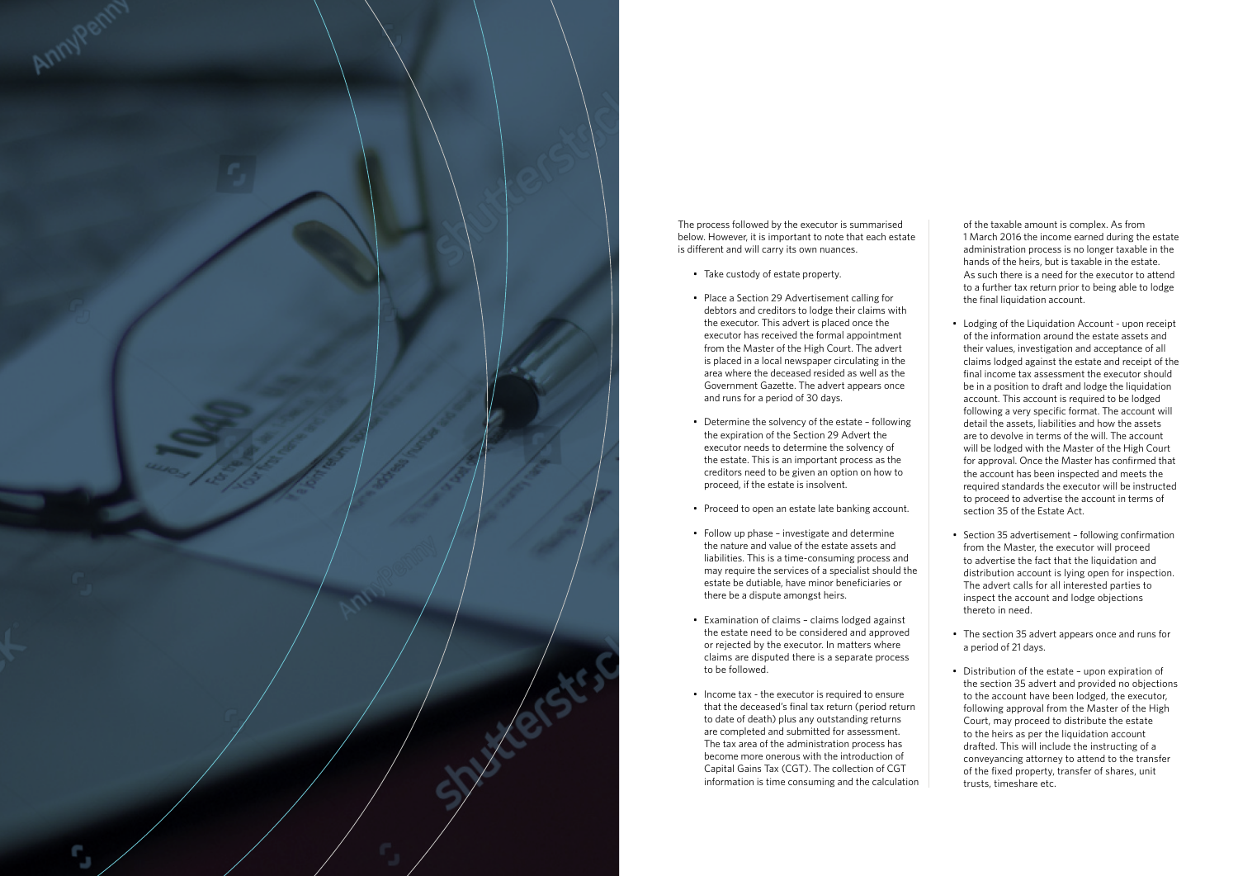

The process followed by the executor is summarised below. However, it is important to note that each estate is different and will carry its own nuances.

- Take custody of estate property.
- Place a Section 29 Advertisement calling for debtors and creditors to lodge their claims with the executor. This advert is placed once the executor has received the formal appointment from the Master of the High Court. The advert is placed in a local newspaper circulating in the area where the deceased resided as well as the Government Gazette. The advert appears once and runs for a period of 30 days.
- Determine the solvency of the estate following the expiration of the Section 29 Advert the executor needs to determine the solvency of the estate. This is an important process as the creditors need to be given an option on how to proceed, if the estate is insolvent.
- Proceed to open an estate late banking account.
- Follow up phase investigate and determine the nature and value of the estate assets and liabilities. This is a time-consuming process and may require the services of a specialist should the estate be dutiable, have minor beneficiaries or there be a dispute amongst heirs.
- Examination of claims claims lodged against the estate need to be considered and approved or rejected by the executor. In matters where claims are disputed there is a separate process to be followed.
- Income tax the executor is required to ensure that the deceased's final tax return (period return to date of death) plus any outstanding returns are completed and submitted for assessment. The tax area of the administration process has become more onerous with the introduction of Capital Gains Tax (CGT). The collection of CGT information is time consuming and the calculation

of the taxable amount is complex. As from 1 March 2016 the income earned during the estate administration process is no longer taxable in the hands of the heirs, but is taxable in the estate. As such there is a need for the executor to attend to a further tax return prior to being able to lodge the final liquidation account.

- Lodging of the Liquidation Account upon receipt of the information around the estate assets and their values, investigation and acceptance of all claims lodged against the estate and receipt of the final income tax assessment the executor should be in a position to draft and lodge the liquidation account. This account is required to be lodged following a very specific format. The account will detail the assets, liabilities and how the assets are to devolve in terms of the will. The account will be lodged with the Master of the High Court for approval. Once the Master has confirmed that the account has been inspected and meets the required standards the executor will be instructed to proceed to advertise the account in terms of section 35 of the Estate Act.
- Section 35 advertisement following confirmation from the Master, the executor will proceed to advertise the fact that the liquidation and distribution account is lying open for inspection. The advert calls for all interested parties to inspect the account and lodge objections thereto in need.
- The section 35 advert appears once and runs for a period of 21 days.
- Distribution of the estate upon expiration of the section 35 advert and provided no objections to the account have been lodged, the executor, following approval from the Master of the High Court, may proceed to distribute the estate to the heirs as per the liquidation account drafted. This will include the instructing of a conveyancing attorney to attend to the transfer of the fixed property, transfer of shares, unit trusts, timeshare etc.